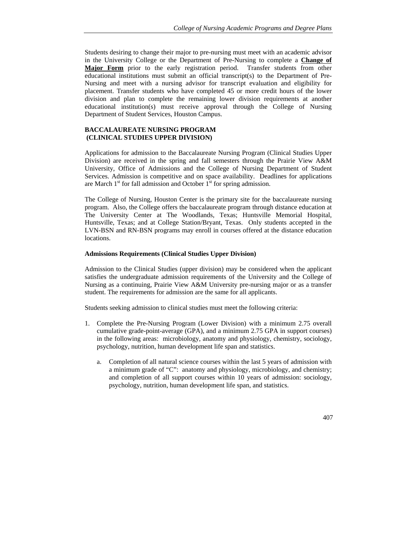Students desiring to change their major to pre-nursing must meet with an academic advisor in the University College or the Department of Pre-Nursing to complete a **Change of Major Form** prior to the early registration period. Transfer students from other educational institutions must submit an official transcript(s) to the Department of Pre-Nursing and meet with a nursing advisor for transcript evaluation and eligibility for placement. Transfer students who have completed 45 or more credit hours of the lower division and plan to complete the remaining lower division requirements at another educational institution(s) must receive approval through the College of Nursing Department of Student Services, Houston Campus.

## **BACCALAUREATE NURSING PROGRAM (CLINICAL STUDIES UPPER DIVISION)**

Applications for admission to the Baccalaureate Nursing Program (Clinical Studies Upper Division) are received in the spring and fall semesters through the Prairie View A&M University, Office of Admissions and the College of Nursing Department of Student Services. Admission is competitive and on space availability. Deadlines for applications are March  $1<sup>st</sup>$  for fall admission and October  $1<sup>st</sup>$  for spring admission.

The College of Nursing, Houston Center is the primary site for the baccalaureate nursing program. Also, the College offers the baccalaureate program through distance education at The University Center at The Woodlands, Texas; Huntsville Memorial Hospital, Huntsville, Texas; and at College Station/Bryant, Texas. Only students accepted in the LVN-BSN and RN-BSN programs may enroll in courses offered at the distance education locations.

## **Admissions Requirements (Clinical Studies Upper Division)**

Admission to the Clinical Studies (upper division) may be considered when the applicant satisfies the undergraduate admission requirements of the University and the College of Nursing as a continuing, Prairie View A&M University pre-nursing major or as a transfer student. The requirements for admission are the same for all applicants.

Students seeking admission to clinical studies must meet the following criteria:

- 1. Complete the Pre-Nursing Program (Lower Division) with a minimum 2.75 overall cumulative grade-point-average (GPA), and a minimum 2.75 GPA in support courses) in the following areas: microbiology, anatomy and physiology, chemistry, sociology, psychology, nutrition, human development life span and statistics.
	- a. Completion of all natural science courses within the last 5 years of admission with a minimum grade of "C": anatomy and physiology, microbiology, and chemistry; and completion of all support courses within 10 years of admission: sociology, psychology, nutrition, human development life span, and statistics.

407